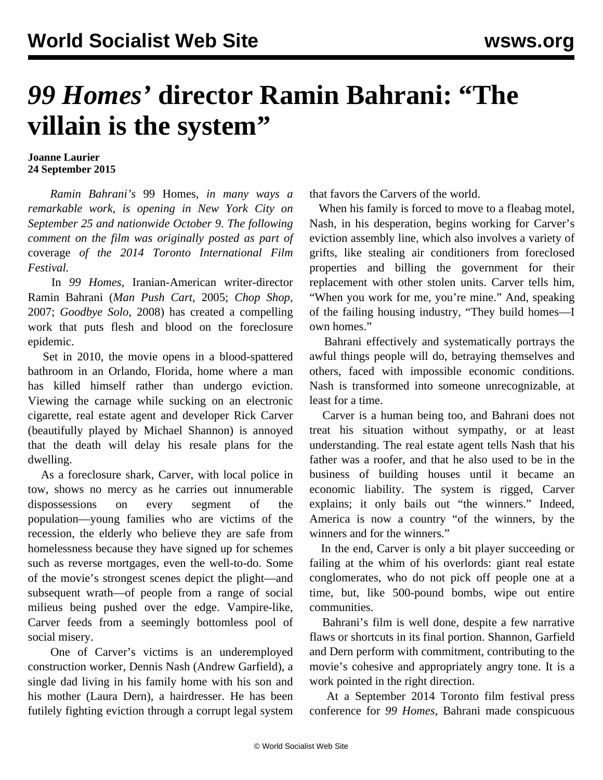## *99 Homes'* **director Ramin Bahrani: "The villain is the system"**

## **Joanne Laurier 24 September 2015**

 *Ramin Bahrani's* 99 Homes*, in many ways a remarkable work, is opening in New York City on September 25 and nationwide October 9. The following comment on the film was originally posted as part of* [coverage](/en/articles/2014/10/10/tff5-o10.html) *of the 2014 Toronto International Film Festival.*

 In *99 Homes*, Iranian-American writer-director Ramin Bahrani (*Man Push Cart,* 2005; *Chop Shop*, 2007; *Goodbye Solo*, 2008) has created a compelling work that puts flesh and blood on the foreclosure epidemic.

 Set in 2010, the movie opens in a blood-spattered bathroom in an Orlando, Florida, home where a man has killed himself rather than undergo eviction. Viewing the carnage while sucking on an electronic cigarette, real estate agent and developer Rick Carver (beautifully played by Michael Shannon) is annoyed that the death will delay his resale plans for the dwelling.

 As a foreclosure shark, Carver, with local police in tow, shows no mercy as he carries out innumerable dispossessions on every segment of the population—young families who are victims of the recession, the elderly who believe they are safe from homelessness because they have signed up for schemes such as reverse mortgages, even the well-to-do. Some of the movie's strongest scenes depict the plight—and subsequent wrath—of people from a range of social milieus being pushed over the edge. Vampire-like, Carver feeds from a seemingly bottomless pool of social misery.

 One of Carver's victims is an underemployed construction worker, Dennis Nash (Andrew Garfield), a single dad living in his family home with his son and his mother (Laura Dern), a hairdresser. He has been futilely fighting eviction through a corrupt legal system that favors the Carvers of the world.

 When his family is forced to move to a fleabag motel, Nash, in his desperation, begins working for Carver's eviction assembly line, which also involves a variety of grifts, like stealing air conditioners from foreclosed properties and billing the government for their replacement with other stolen units. Carver tells him, "When you work for me, you're mine." And, speaking of the failing housing industry, "They build homes—I own homes."

 Bahrani effectively and systematically portrays the awful things people will do, betraying themselves and others, faced with impossible economic conditions. Nash is transformed into someone unrecognizable, at least for a time.

 Carver is a human being too, and Bahrani does not treat his situation without sympathy, or at least understanding. The real estate agent tells Nash that his father was a roofer, and that he also used to be in the business of building houses until it became an economic liability. The system is rigged, Carver explains; it only bails out "the winners." Indeed, America is now a country "of the winners, by the winners and for the winners."

 In the end, Carver is only a bit player succeeding or failing at the whim of his overlords: giant real estate conglomerates, who do not pick off people one at a time, but, like 500-pound bombs, wipe out entire communities.

 Bahrani's film is well done, despite a few narrative flaws or shortcuts in its final portion. Shannon, Garfield and Dern perform with commitment, contributing to the movie's cohesive and appropriately angry tone. It is a work pointed in the right direction.

 At a September 2014 Toronto film festival press conference for *99 Homes*, Bahrani made conspicuous